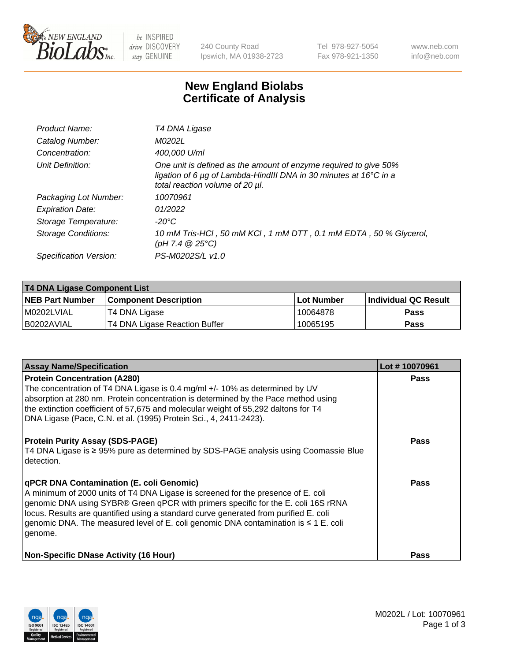

 $be$  INSPIRED drive DISCOVERY stay GENUINE

240 County Road Ipswich, MA 01938-2723 Tel 978-927-5054 Fax 978-921-1350 www.neb.com info@neb.com

## **New England Biolabs Certificate of Analysis**

| Product Name:           | T4 DNA Ligase                                                                                                                                                                           |
|-------------------------|-----------------------------------------------------------------------------------------------------------------------------------------------------------------------------------------|
| Catalog Number:         | M0202L                                                                                                                                                                                  |
| Concentration:          | 400,000 U/ml                                                                                                                                                                            |
| Unit Definition:        | One unit is defined as the amount of enzyme required to give 50%<br>ligation of 6 $\mu$ g of Lambda-HindIII DNA in 30 minutes at 16 $\degree$ C in a<br>total reaction volume of 20 µl. |
| Packaging Lot Number:   | 10070961                                                                                                                                                                                |
| <b>Expiration Date:</b> | 01/2022                                                                                                                                                                                 |
| Storage Temperature:    | $-20^{\circ}$ C                                                                                                                                                                         |
| Storage Conditions:     | 10 mM Tris-HCl, 50 mM KCl, 1 mM DTT, 0.1 mM EDTA, 50 % Glycerol,<br>(pH 7.4 $@25°C$ )                                                                                                   |
| Specification Version:  | PS-M0202S/L v1.0                                                                                                                                                                        |

| T4 DNA Ligase Component List |                               |              |                             |  |
|------------------------------|-------------------------------|--------------|-----------------------------|--|
| <b>NEB Part Number</b>       | <b>Component Description</b>  | l Lot Number | <b>Individual QC Result</b> |  |
| M0202LVIAL                   | T4 DNA Ligase                 | 10064878     | <b>Pass</b>                 |  |
| I B0202AVIAL                 | T4 DNA Ligase Reaction Buffer | 10065195     | <b>Pass</b>                 |  |

| <b>Assay Name/Specification</b>                                                                                                                                                                                                                                                                                                                                                                             | Lot #10070961 |
|-------------------------------------------------------------------------------------------------------------------------------------------------------------------------------------------------------------------------------------------------------------------------------------------------------------------------------------------------------------------------------------------------------------|---------------|
| <b>Protein Concentration (A280)</b><br>The concentration of T4 DNA Ligase is 0.4 mg/ml +/- 10% as determined by UV<br>absorption at 280 nm. Protein concentration is determined by the Pace method using<br>the extinction coefficient of 57,675 and molecular weight of 55,292 daltons for T4<br>DNA Ligase (Pace, C.N. et al. (1995) Protein Sci., 4, 2411-2423).                                         | <b>Pass</b>   |
| <b>Protein Purity Assay (SDS-PAGE)</b><br>T4 DNA Ligase is ≥ 95% pure as determined by SDS-PAGE analysis using Coomassie Blue<br>detection.                                                                                                                                                                                                                                                                 | <b>Pass</b>   |
| qPCR DNA Contamination (E. coli Genomic)<br>A minimum of 2000 units of T4 DNA Ligase is screened for the presence of E. coli<br>genomic DNA using SYBR® Green qPCR with primers specific for the E. coli 16S rRNA<br>locus. Results are quantified using a standard curve generated from purified E. coli<br>genomic DNA. The measured level of E. coli genomic DNA contamination is ≤ 1 E. coli<br>genome. | Pass          |
| <b>Non-Specific DNase Activity (16 Hour)</b>                                                                                                                                                                                                                                                                                                                                                                | Pass          |

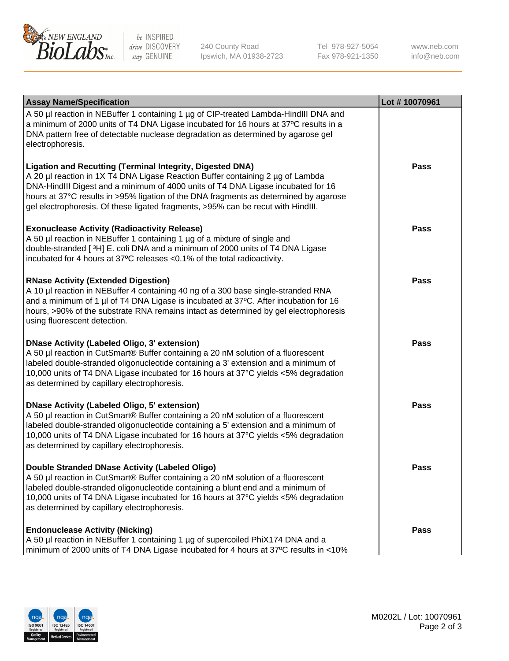

be INSPIRED drive DISCOVERY stay GENUINE

240 County Road Ipswich, MA 01938-2723 Tel 978-927-5054 Fax 978-921-1350 www.neb.com info@neb.com

| <b>Assay Name/Specification</b>                                                                                                                                                                                                                                                                                                                                                                             | Lot #10070961 |
|-------------------------------------------------------------------------------------------------------------------------------------------------------------------------------------------------------------------------------------------------------------------------------------------------------------------------------------------------------------------------------------------------------------|---------------|
| A 50 µl reaction in NEBuffer 1 containing 1 µg of CIP-treated Lambda-HindIII DNA and<br>a minimum of 2000 units of T4 DNA Ligase incubated for 16 hours at 37°C results in a<br>DNA pattern free of detectable nuclease degradation as determined by agarose gel<br>electrophoresis.                                                                                                                        |               |
| Ligation and Recutting (Terminal Integrity, Digested DNA)<br>A 20 µl reaction in 1X T4 DNA Ligase Reaction Buffer containing 2 µg of Lambda<br>DNA-HindIII Digest and a minimum of 4000 units of T4 DNA Ligase incubated for 16<br>hours at 37°C results in >95% ligation of the DNA fragments as determined by agarose<br>gel electrophoresis. Of these ligated fragments, >95% can be recut with HindIII. | Pass          |
| <b>Exonuclease Activity (Radioactivity Release)</b><br>A 50 µl reaction in NEBuffer 1 containing 1 µg of a mixture of single and<br>double-stranded [3H] E. coli DNA and a minimum of 2000 units of T4 DNA Ligase<br>incubated for 4 hours at 37°C releases <0.1% of the total radioactivity.                                                                                                               | <b>Pass</b>   |
| <b>RNase Activity (Extended Digestion)</b><br>A 10 µl reaction in NEBuffer 4 containing 40 ng of a 300 base single-stranded RNA<br>and a minimum of 1 µl of T4 DNA Ligase is incubated at 37°C. After incubation for 16<br>hours, >90% of the substrate RNA remains intact as determined by gel electrophoresis<br>using fluorescent detection.                                                             | Pass          |
| <b>DNase Activity (Labeled Oligo, 3' extension)</b><br>A 50 µl reaction in CutSmart® Buffer containing a 20 nM solution of a fluorescent<br>labeled double-stranded oligonucleotide containing a 3' extension and a minimum of<br>10,000 units of T4 DNA Ligase incubated for 16 hours at 37°C yields <5% degradation<br>as determined by capillary electrophoresis.                                        | <b>Pass</b>   |
| <b>DNase Activity (Labeled Oligo, 5' extension)</b><br>A 50 µl reaction in CutSmart® Buffer containing a 20 nM solution of a fluorescent<br>labeled double-stranded oligonucleotide containing a 5' extension and a minimum of<br>10,000 units of T4 DNA Ligase incubated for 16 hours at 37°C yields <5% degradation<br>as determined by capillary electrophoresis.                                        | <b>Pass</b>   |
| Double Stranded DNase Activity (Labeled Oligo)<br>A 50 µl reaction in CutSmart® Buffer containing a 20 nM solution of a fluorescent<br>labeled double-stranded oligonucleotide containing a blunt end and a minimum of<br>10,000 units of T4 DNA Ligase incubated for 16 hours at 37°C yields <5% degradation<br>as determined by capillary electrophoresis.                                                | <b>Pass</b>   |
| <b>Endonuclease Activity (Nicking)</b><br>A 50 µl reaction in NEBuffer 1 containing 1 µg of supercoiled PhiX174 DNA and a<br>minimum of 2000 units of T4 DNA Ligase incubated for 4 hours at 37°C results in <10%                                                                                                                                                                                           | <b>Pass</b>   |